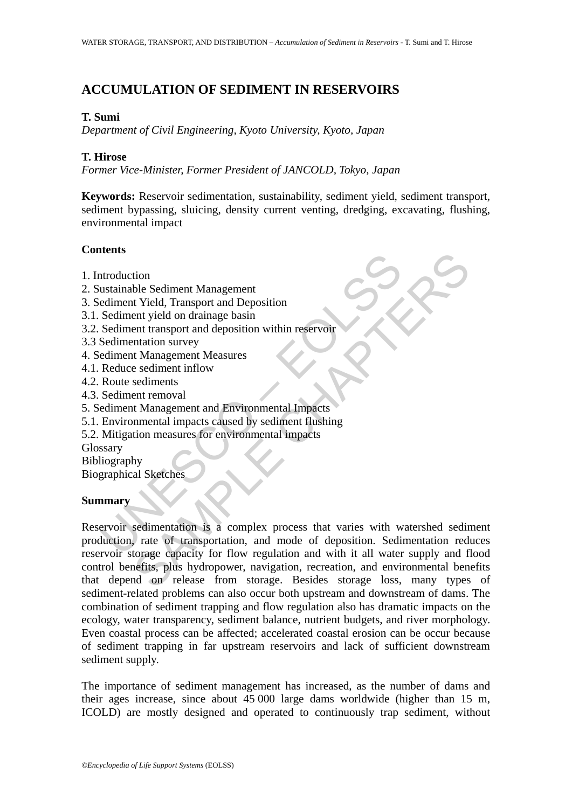# **ACCUMULATION OF SEDIMENT IN RESERVOIRS**

## **T. Sumi**

*Department of Civil Engineering, Kyoto University, Kyoto, Japan* 

## **T. Hirose**

*Former Vice-Minister, Former President of JANCOLD, Tokyo, Japan*

**Keywords:** Reservoir sedimentation, sustainability, sediment yield, sediment transport, sediment bypassing, sluicing, density current venting, dredging, excavating, flushing, environmental impact

## **Contents**

- 1. Introduction
- 2. Sustainable Sediment Management
- 3. Sediment Yield, Transport and Deposition
- 3.1. Sediment yield on drainage basin
- 3.2. Sediment transport and deposition within reservoir
- 3.3 Sedimentation survey
- 4. Sediment Management Measures
- 4.1. Reduce sediment inflow
- 4.2. Route sediments
- 4.3. Sediment removal
- 5. Sediment Management and Environmental Impacts
- 5.1. Environmental impacts caused by sediment flushing
- 5.2. Mitigation measures for environmental impacts

Glossary

Bibliography

Biographical Sketches

### **Summary**

The Manufortheory and Manufortheory and Manufortheory and Manufort<br>
Sediment Trield, Transport and Deposition<br>
Sediment transport and deposition within reservoir<br>
Sediment transport and deposition within reservoir<br>
Sedimen The Sediment Management<br>
It Vield, Transport and Deposition<br>
Int Vield, Transport and Deposition<br>
Inntition survey<br>
Int It Management Measures<br>
It Management Measures<br>
Exediments<br>
Int It Management and Environmental Impact Reservoir sedimentation is a complex process that varies with watershed sediment production, rate of transportation, and mode of deposition. Sedimentation reduces reservoir storage capacity for flow regulation and with it all water supply and flood control benefits, plus hydropower, navigation, recreation, and environmental benefits that depend on release from storage. Besides storage loss, many types of sediment-related problems can also occur both upstream and downstream of dams. The combination of sediment trapping and flow regulation also has dramatic impacts on the ecology, water transparency, sediment balance, nutrient budgets, and river morphology. Even coastal process can be affected; accelerated coastal erosion can be occur because of sediment trapping in far upstream reservoirs and lack of sufficient downstream sediment supply.

The importance of sediment management has increased, as the number of dams and their ages increase, since about 45 000 large dams worldwide (higher than 15 m, ICOLD) are mostly designed and operated to continuously trap sediment, without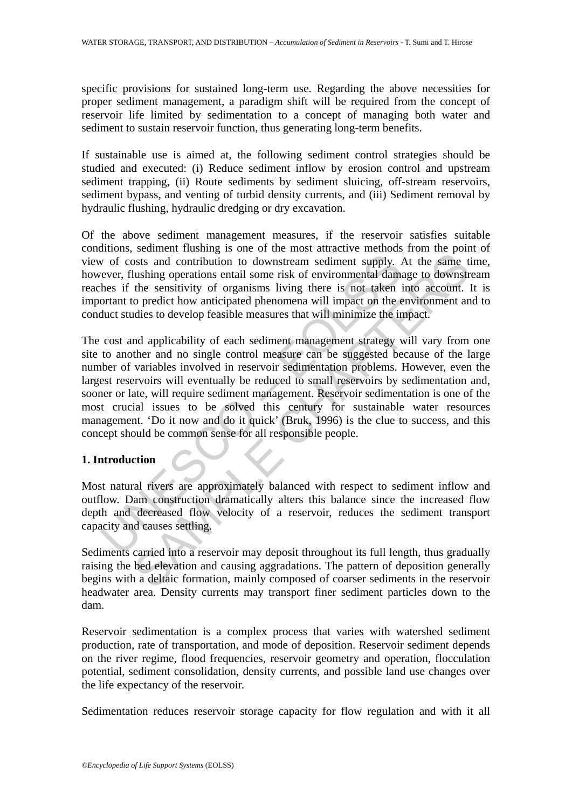specific provisions for sustained long-term use. Regarding the above necessities for proper sediment management, a paradigm shift will be required from the concept of reservoir life limited by sedimentation to a concept of managing both water and sediment to sustain reservoir function, thus generating long-term benefits.

If sustainable use is aimed at, the following sediment control strategies should be studied and executed: (i) Reduce sediment inflow by erosion control and upstream sediment trapping, (ii) Route sediments by sediment sluicing, off-stream reservoirs, sediment bypass, and venting of turbid density currents, and (iii) Sediment removal by hydraulic flushing, hydraulic dredging or dry excavation.

Of the above sediment management measures, if the reservoir satisfies suitable conditions, sediment flushing is one of the most attractive methods from the point of view of costs and contribution to downstream sediment supply. At the same time, however, flushing operations entail some risk of environmental damage to downstream reaches if the sensitivity of organisms living there is not taken into account. It is important to predict how anticipated phenomena will impact on the environment and to conduct studies to develop feasible measures that will minimize the impact.

v of costs and contribution to downstream sediment supply. *i*<br>ever, flushing operations entail some risk of environmental dama-<br>hes if the sensitivity of organisms living there is not taken in<br>ortant to predict how antici <sup>1</sup> scanned runaring to one intent incordinated the material contribution to downstream sediment supply. At the same thushing operations entail some risk of environmental damage to downstrict the sensitivity of organisms l The cost and applicability of each sediment management strategy will vary from one site to another and no single control measure can be suggested because of the large number of variables involved in reservoir sedimentation problems. However, even the largest reservoirs will eventually be reduced to small reservoirs by sedimentation and, sooner or late, will require sediment management. Reservoir sedimentation is one of the most crucial issues to be solved this century for sustainable water resources management. 'Do it now and do it quick' (Bruk, 1996) is the clue to success, and this concept should be common sense for all responsible people.

# **1. Introduction**

Most natural rivers are approximately balanced with respect to sediment inflow and outflow. Dam construction dramatically alters this balance since the increased flow depth and decreased flow velocity of a reservoir, reduces the sediment transport capacity and causes settling.

Sediments carried into a reservoir may deposit throughout its full length, thus gradually raising the bed elevation and causing aggradations. The pattern of deposition generally begins with a deltaic formation, mainly composed of coarser sediments in the reservoir headwater area. Density currents may transport finer sediment particles down to the dam.

Reservoir sedimentation is a complex process that varies with watershed sediment production, rate of transportation, and mode of deposition. Reservoir sediment depends on the river regime, flood frequencies, reservoir geometry and operation, flocculation potential, sediment consolidation, density currents, and possible land use changes over the life expectancy of the reservoir.

Sedimentation reduces reservoir storage capacity for flow regulation and with it all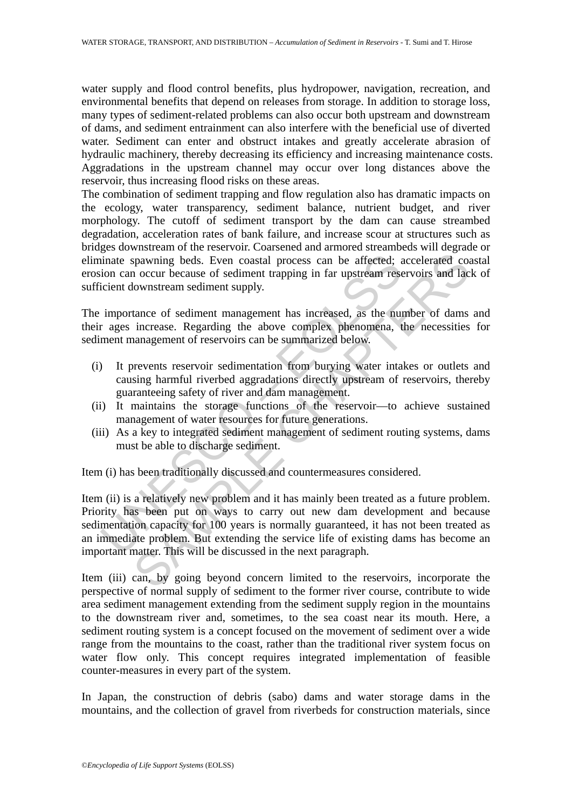water supply and flood control benefits, plus hydropower, navigation, recreation, and environmental benefits that depend on releases from storage. In addition to storage loss, many types of sediment-related problems can also occur both upstream and downstream of dams, and sediment entrainment can also interfere with the beneficial use of diverted water. Sediment can enter and obstruct intakes and greatly accelerate abrasion of hydraulic machinery, thereby decreasing its efficiency and increasing maintenance costs. Aggradations in the upstream channel may occur over long distances above the reservoir, thus increasing flood risks on these areas.

The combination of sediment trapping and flow regulation also has dramatic impacts on the ecology, water transparency, sediment balance, nutrient budget, and river morphology. The cutoff of sediment transport by the dam can cause streambed degradation, acceleration rates of bank failure, and increase scour at structures such as bridges downstream of the reservoir. Coarsened and armored streambeds will degrade or eliminate spawning beds. Even coastal process can be affected; accelerated coastal erosion can occur because of sediment trapping in far upstream reservoirs and lack of sufficient downstream sediment supply.

The importance of sediment management has increased, as the number of dams and their ages increase. Regarding the above complex phenomena, the necessities for sediment management of reservoirs can be summarized below.

- (i) It prevents reservoir sedimentation from burying water intakes or outlets and causing harmful riverbed aggradations directly upstream of reservoirs, thereby guaranteeing safety of river and dam management.
- (ii) It maintains the storage functions of the reservoir—to achieve sustained management of water resources for future generations.
- (iii) As a key to integrated sediment management of sediment routing systems, dams must be able to discharge sediment.

Item (i) has been traditionally discussed and countermeasures considered.

inate spawning beds. Even coastal process can be affected; <br>cion can occur because of sediment trapping in far upstream rese<br>cicient downstream sediment supply.<br>importance of sediment management has increased, as the num<br>r spawning beds. Even coastal process can be affected; accelerated coasing powning beds. Even coastal process can be affected; accelerated coasing occur because of sediment trapping in far upstream reservoirs and lactomstrea Item (ii) is a relatively new problem and it has mainly been treated as a future problem. Priority has been put on ways to carry out new dam development and because sedimentation capacity for 100 years is normally guaranteed, it has not been treated as an immediate problem. But extending the service life of existing dams has become an important matter. This will be discussed in the next paragraph.

Item (iii) can, by going beyond concern limited to the reservoirs, incorporate the perspective of normal supply of sediment to the former river course, contribute to wide area sediment management extending from the sediment supply region in the mountains to the downstream river and, sometimes, to the sea coast near its mouth. Here, a sediment routing system is a concept focused on the movement of sediment over a wide range from the mountains to the coast, rather than the traditional river system focus on water flow only. This concept requires integrated implementation of feasible counter-measures in every part of the system.

In Japan, the construction of debris (sabo) dams and water storage dams in the mountains, and the collection of gravel from riverbeds for construction materials, since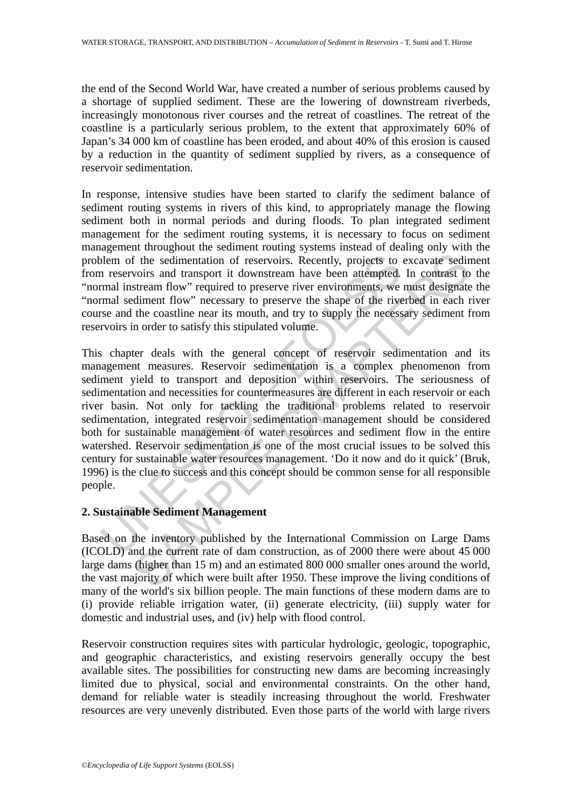the end of the Second World War, have created a number of serious problems caused by a shortage of supplied sediment. These are the lowering of downstream riverbeds, increasingly monotonous river courses and the retreat of coastlines. The retreat of the coastline is a particularly serious problem, to the extent that approximately 60% of Japan's 34 000 km of coastline has been eroded, and about 40% of this erosion is caused by a reduction in the quantity of sediment supplied by rivers, as a consequence of reservoir sedimentation.

In response, intensive studies have been started to clarify the sediment balance of sediment routing systems in rivers of this kind, to appropriately manage the flowing sediment both in normal periods and during floods. To plan integrated sediment management for the sediment routing systems, it is necessary to focus on sediment management throughout the sediment routing systems instead of dealing only with the problem of the sedimentation of reservoirs. Recently, projects to excavate sediment from reservoirs and transport it downstream have been attempted. In contrast to the "normal instream flow" required to preserve river environments, we must designate the "normal sediment flow" necessary to preserve the shape of the riverbed in each river course and the coastline near its mouth, and try to supply the necessary sediment from reservoirs in order to satisfy this stipulated volume.

blem of the sedimentation of reservoirs. Recently, projects to<br>n reservoirs and transport it downstream have been attempted.<br>mal instream flow" required to preserve river environments, we<br>man sediment flow" necessary to pr If the sedimentation of reservoirs. Recently, projects to excavate sediviors and transport it downstream have been attempted. In contrast to stream flow" required to preserve river environments, we must designate different This chapter deals with the general concept of reservoir sedimentation and its management measures. Reservoir sedimentation is a complex phenomenon from sediment yield to transport and deposition within reservoirs. The seriousness of sedimentation and necessities for countermeasures are different in each reservoir or each river basin. Not only for tackling the traditional problems related to reservoir sedimentation, integrated reservoir sedimentation management should be considered both for sustainable management of water resources and sediment flow in the entire watershed. Reservoir sedimentation is one of the most crucial issues to be solved this century for sustainable water resources management. 'Do it now and do it quick' (Bruk, 1996) is the clue to success and this concept should be common sense for all responsible people.

# **2. Sustainable Sediment Management**

Based on the inventory published by the International Commission on Large Dams (ICOLD) and the current rate of dam construction, as of 2000 there were about 45 000 large dams (higher than 15 m) and an estimated 800 000 smaller ones around the world, the vast majority of which were built after 1950. These improve the living conditions of many of the world's six billion people. The main functions of these modern dams are to (i) provide reliable irrigation water, (ii) generate electricity, (iii) supply water for domestic and industrial uses, and (iv) help with flood control.

Reservoir construction requires sites with particular hydrologic, geologic, topographic, and geographic characteristics, and existing reservoirs generally occupy the best available sites. The possibilities for constructing new dams are becoming increasingly limited due to physical, social and environmental constraints. On the other hand, demand for reliable water is steadily increasing throughout the world. Freshwater resources are very unevenly distributed. Even those parts of the world with large rivers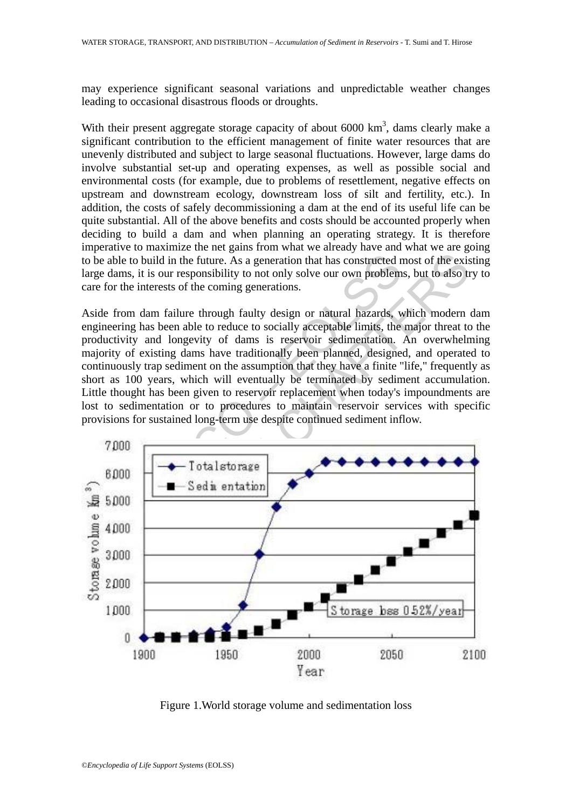may experience significant seasonal variations and unpredictable weather changes leading to occasional disastrous floods or droughts.

With their present aggregate storage capacity of about  $6000 \text{ km}^3$ , dams clearly make a significant contribution to the efficient management of finite water resources that are unevenly distributed and subject to large seasonal fluctuations. However, large dams do involve substantial set-up and operating expenses, as well as possible social and environmental costs (for example, due to problems of resettlement, negative effects on upstream and downstream ecology, downstream loss of silt and fertility, etc.). In addition, the costs of safely decommissioning a dam at the end of its useful life can be quite substantial. All of the above benefits and costs should be accounted properly when deciding to build a dam and when planning an operating strategy. It is therefore imperative to maximize the net gains from what we already have and what we are going to be able to build in the future. As a generation that has constructed most of the existing large dams, it is our responsibility to not only solve our own problems, but to also try to care for the interests of the coming generations.

Aside from dam failure through faulty design or natural hazards, which modern dam engineering has been able to reduce to socially acceptable limits, the major threat to the productivity and longevity of dams is reservoir sedimentation. An overwhelming majority of existing dams have traditionally been planned, designed, and operated to continuously trap sediment on the assumption that they have a finite "life," frequently as short as 100 years, which will eventually be terminated by sediment accumulation. Little thought has been given to reservoir replacement when today's impoundments are lost to sedimentation or to procedures to maintain reservoir services with specific provisions for sustained long-term use despite continued sediment inflow.



Figure 1.World storage volume and sedimentation loss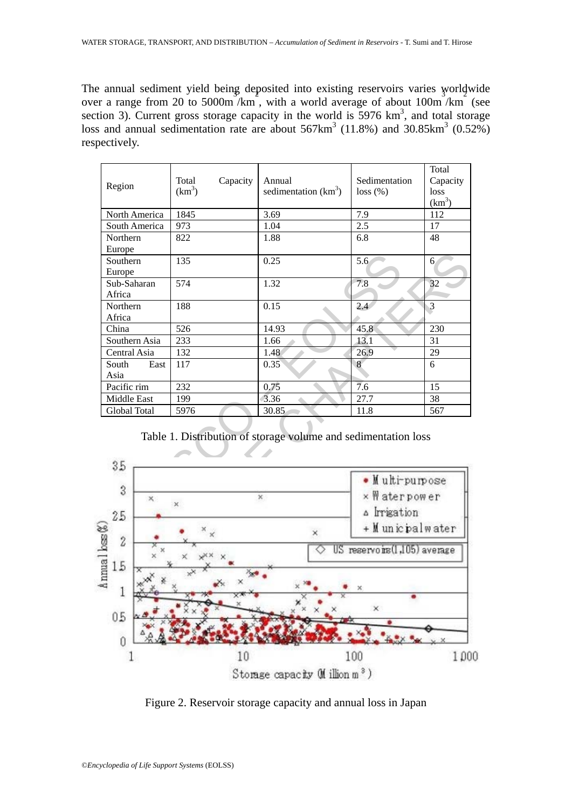The annual sediment yield being deposited into existing reservoirs varies worldwide over a range from 20 to 5000m/km, with a world average of about 100m/km (see section 3). Current gross storage capacity in the world is  $5976 \text{ km}^3$ , and total storage loss and annual sedimentation rate are about  $567 \text{km}^3$  (11.8%) and 30.85 $\text{km}^3$  (0.52%) respectively.

| Region               | Capacity<br>Total<br>(km <sup>3</sup> ) | Annual<br>sedimentation $(km^3)$                               | Sedimentation<br>loss(%)     | Total<br>Capacity<br>loss<br>$(km^3)$ |  |
|----------------------|-----------------------------------------|----------------------------------------------------------------|------------------------------|---------------------------------------|--|
| North America        | 1845                                    | 3.69                                                           | 7.9                          | 112                                   |  |
| South America        | 973                                     | 1.04                                                           | $2.5\,$                      | 17                                    |  |
| Northern             | 822                                     | 1.88                                                           | 6.8                          | 48                                    |  |
| Europe               |                                         |                                                                |                              |                                       |  |
| Southern             | 135                                     | 0.25                                                           | 5.6                          | 6                                     |  |
| Europe               |                                         |                                                                |                              |                                       |  |
| Sub-Saharan          | 574                                     | 1.32                                                           | 7.8                          | 32                                    |  |
| Africa               |                                         |                                                                |                              |                                       |  |
| Northern             | 188                                     | 0.15                                                           | 2.4                          | 3                                     |  |
| Africa               |                                         |                                                                |                              |                                       |  |
| China                | 526                                     | 14.93                                                          | 45.8                         | 230                                   |  |
| Southern Asia        | 233                                     | 1.66                                                           | 13.1                         | 31                                    |  |
| Central Asia         | 132                                     | 1.48                                                           | 26.9                         | 29                                    |  |
| South<br>East        | 117                                     | 0.35                                                           | 8                            | 6                                     |  |
| Asia                 |                                         |                                                                |                              |                                       |  |
| Pacific rim          | 232                                     | 0.75                                                           | $\overline{7.6}$             | 15                                    |  |
| Middle East          | 199                                     | 3.36                                                           | 27.7                         | 38                                    |  |
| Global Total         | 5976                                    | 30.85                                                          | 11.8                         | 567                                   |  |
| 35                   |                                         | Table 1. Distribution of storage volume and sedimentation loss |                              |                                       |  |
| 3                    | $\boldsymbol{\times}$                   |                                                                |                              | · Multi-purpose<br>× Waterpower       |  |
|                      | ×<br>×                                  |                                                                |                              |                                       |  |
| 25                   |                                         |                                                                |                              |                                       |  |
| $\hat{z}$            |                                         | $\times$                                                       | + Municipalwater             |                                       |  |
|                      |                                         | ਨ                                                              | US reservoirs(1,105) average |                                       |  |
| Annual loss (A<br>15 |                                         |                                                                |                              |                                       |  |
|                      |                                         |                                                                |                              |                                       |  |

Table 1. Distribution of storage volume and sedimentation loss



Figure 2. Reservoir storage capacity and annual loss in Japan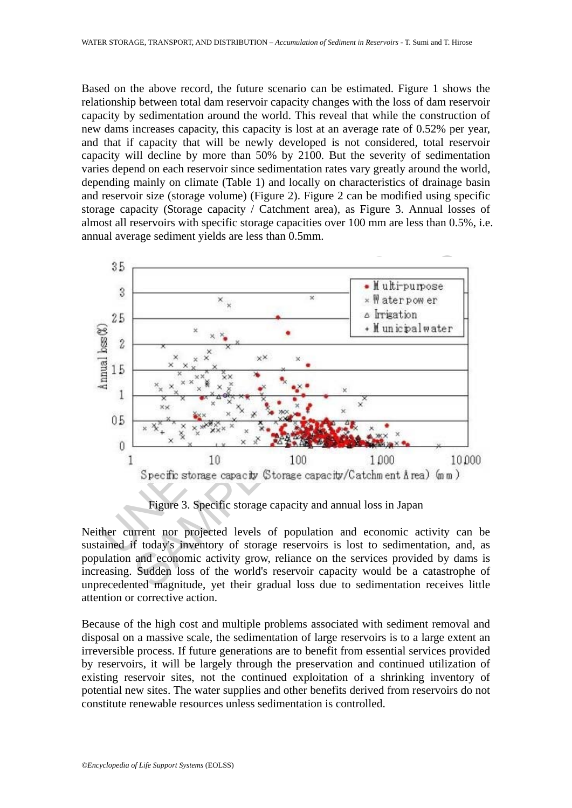Based on the above record, the future scenario can be estimated. Figure 1 shows the relationship between total dam reservoir capacity changes with the loss of dam reservoir capacity by sedimentation around the world. This reveal that while the construction of new dams increases capacity, this capacity is lost at an average rate of 0.52% per year, and that if capacity that will be newly developed is not considered, total reservoir capacity will decline by more than 50% by 2100. But the severity of sedimentation varies depend on each reservoir since sedimentation rates vary greatly around the world, depending mainly on climate (Table 1) and locally on characteristics of drainage basin and reservoir size (storage volume) (Figure 2). Figure 2 can be modified using specific storage capacity (Storage capacity / Catchment area), as Figure 3. Annual losses of almost all reservoirs with specific storage capacities over 100 mm are less than 0.5%, i.e. annual average sediment yields are less than 0.5mm.



Figure 3. Specific storage capacity and annual loss in Japan

Neither current nor projected levels of population and economic activity can be sustained if today's inventory of storage reservoirs is lost to sedimentation, and, as population and economic activity grow, reliance on the services provided by dams is increasing. Sudden loss of the world's reservoir capacity would be a catastrophe of unprecedented magnitude, yet their gradual loss due to sedimentation receives little attention or corrective action.

Because of the high cost and multiple problems associated with sediment removal and disposal on a massive scale, the sedimentation of large reservoirs is to a large extent an irreversible process. If future generations are to benefit from essential services provided by reservoirs, it will be largely through the preservation and continued utilization of existing reservoir sites, not the continued exploitation of a shrinking inventory of potential new sites. The water supplies and other benefits derived from reservoirs do not constitute renewable resources unless sedimentation is controlled.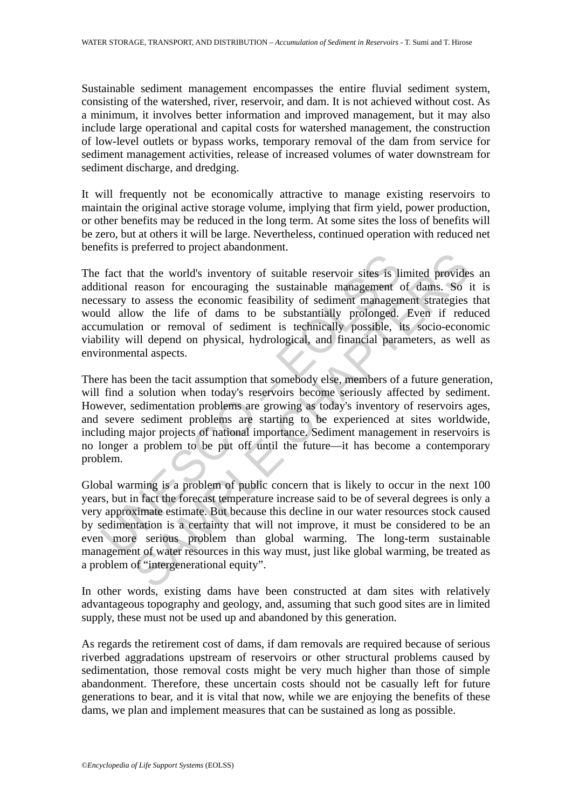Sustainable sediment management encompasses the entire fluvial sediment system, consisting of the watershed, river, reservoir, and dam. It is not achieved without cost. As a minimum, it involves better information and improved management, but it may also include large operational and capital costs for watershed management, the construction of low-level outlets or bypass works, temporary removal of the dam from service for sediment management activities, release of increased volumes of water downstream for sediment discharge, and dredging.

It will frequently not be economically attractive to manage existing reservoirs to maintain the original active storage volume, implying that firm yield, power production, or other benefits may be reduced in the long term. At some sites the loss of benefits will be zero, but at others it will be large. Nevertheless, continued operation with reduced net benefits is preferred to project abandonment.

fact that the world's inventory of suitable reservoir sites is listional reason for encouraging the sustainable management c<br>stassing to assess the economic feasibility of sediment management<br>ideal allow the life of dams t France Proposition of suitable reservoir sites is limited provident reason for encoronary of suitable reservoir sites is limited provident conserved to assess the economic feasibility of sediment management strategies ow t The fact that the world's inventory of suitable reservoir sites is limited provides an additional reason for encouraging the sustainable management of dams. So it is necessary to assess the economic feasibility of sediment management strategies that would allow the life of dams to be substantially prolonged. Even if reduced accumulation or removal of sediment is technically possible, its socio-economic viability will depend on physical, hydrological, and financial parameters, as well as environmental aspects.

There has been the tacit assumption that somebody else, members of a future generation, will find a solution when today's reservoirs become seriously affected by sediment. However, sedimentation problems are growing as today's inventory of reservoirs ages, and severe sediment problems are starting to be experienced at sites worldwide, including major projects of national importance. Sediment management in reservoirs is no longer a problem to be put off until the future—it has become a contemporary problem.

Global warming is a problem of public concern that is likely to occur in the next 100 years, but in fact the forecast temperature increase said to be of several degrees is only a very approximate estimate. But because this decline in our water resources stock caused by sedimentation is a certainty that will not improve, it must be considered to be an even more serious problem than global warming. The long-term sustainable management of water resources in this way must, just like global warming, be treated as a problem of "intergenerational equity".

In other words, existing dams have been constructed at dam sites with relatively advantageous topography and geology, and, assuming that such good sites are in limited supply, these must not be used up and abandoned by this generation.

As regards the retirement cost of dams, if dam removals are required because of serious riverbed aggradations upstream of reservoirs or other structural problems caused by sedimentation, those removal costs might be very much higher than those of simple abandonment. Therefore, these uncertain costs should not be casually left for future generations to bear, and it is vital that now, while we are enjoying the benefits of these dams, we plan and implement measures that can be sustained as long as possible.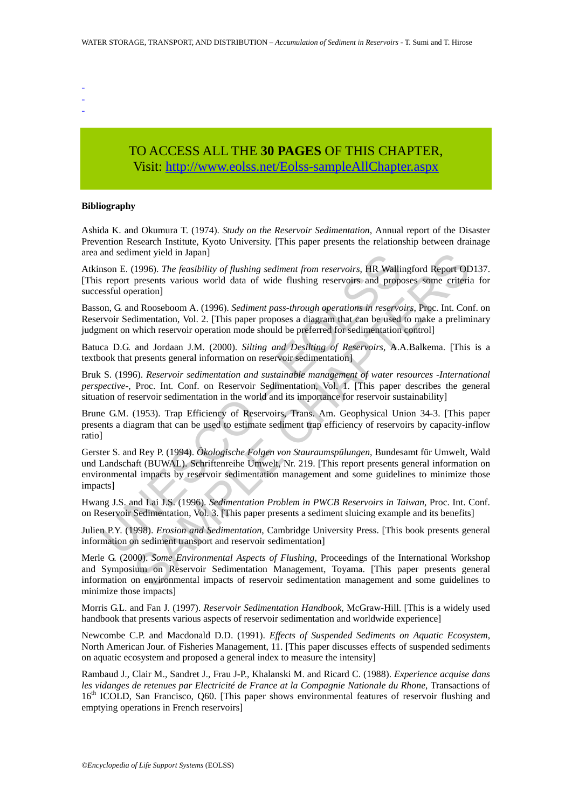- -
- -
- TO ACCESS ALL THE **30 PAGES** OF THIS CHAPTER, Visit[: http://www.eolss.net/Eolss-sampleAllChapter.aspx](https://www.eolss.net/ebooklib/sc_cart.aspx?File=E2-12-02-05)

### **Bibliography**

Ashida K. and Okumura T. (1974). *Study on the Reservoir Sedimentation*, Annual report of the Disaster Prevention Research Institute, Kyoto University. [This paper presents the relationship between drainage area and sediment yield in Japan]

Atkinson E. (1996). *The feasibility of flushing sediment from reservoirs*, HR Wallingford Report OD137. [This report presents various world data of wide flushing reservoirs and proposes some criteria for successful operation]

Basson, G. and Rooseboom A. (1996). *Sediment pass-through operations in reservoirs*, Proc. Int. Conf. on Reservoir Sedimentation, Vol. 2. [This paper proposes a diagram that can be used to make a preliminary judgment on which reservoir operation mode should be preferred for sedimentation control]

Batuca D.G. and Jordaan J.M. (2000). *Silting and Desilting of Reservoirs*, A.A.Balkema. [This is a textbook that presents general information on reservoir sedimentation]

Bruk S. (1996). *Reservoir sedimentation and sustainable management of water resources -International perspective-*, Proc. Int. Conf. on Reservoir Sedimentation, Vol. 1. [This paper describes the general situation of reservoir sedimentation in the world and its importance for reservoir sustainability]

Brune G.M. (1953). Trap Efficiency of Reservoirs, Trans. Am. Geophysical Union 34-3. [This paper presents a diagram that can be used to estimate sediment trap efficiency of reservoirs by capacity-inflow ratio]

and sealment yield in Japan]<br>
and sealment yield in Japan]<br>
Inson E. (1996). The *feasibility of flushing sediment from reservoirs*, HR Wallis<br>
is report presents various world data of wide flushing reservoirs and prope<br>
I ment yield in Japan]<br>
(1996). The feasibility of flushing sediment from reservoirs, HR Wallingford Report OI<br>
presents various world data of wide flushing reservoirs and proposes some criteri<br>
eration]<br>
Recossboom A. (1996 Gerster S. and Rey P. (1994). *Ökologische Folgen von Stauraumspülungen*, Bundesamt für Umwelt, Wald und Landschaft (BUWAL). Schriftenreihe Umwelt, Nr. 219. [This report presents general information on environmental impacts by reservoir sedimentation management and some guidelines to minimize those impacts]

Hwang J.S. and Lai J.S. (1996). *Sedimentation Problem in PWCB Reservoirs in Taiwan*, Proc. Int. Conf. on Reservoir Sedimentation, Vol. 3. [This paper presents a sediment sluicing example and its benefits]

Julien P.Y. (1998). *Erosion and Sedimentation*, Cambridge University Press. [This book presents general information on sediment transport and reservoir sedimentation]

Merle G. (2000). *Some Environmental Aspects of Flushing*, Proceedings of the International Workshop and Symposium on Reservoir Sedimentation Management, Toyama. [This paper presents general information on environmental impacts of reservoir sedimentation management and some guidelines to minimize those impacts]

Morris G.L. and Fan J. (1997). *Reservoir Sedimentation Handbook*, McGraw-Hill. [This is a widely used handbook that presents various aspects of reservoir sedimentation and worldwide experience]

Newcombe C.P. and Macdonald D.D. (1991). *Effects of Suspended Sediments on Aquatic Ecosystem*, North American Jour. of Fisheries Management, 11. [This paper discusses effects of suspended sediments on aquatic ecosystem and proposed a general index to measure the intensity]

Rambaud J., Clair M., Sandret J., Frau J-P., Khalanski M. and Ricard C. (1988). *Experience acquise dans les vidanges de retenues par Electricité de France at la Compagnie Nationale du Rhone*, Transactions of 16<sup>th</sup> ICOLD, San Francisco, Q60. [This paper shows environmental features of reservoir flushing and emptying operations in French reservoirs]